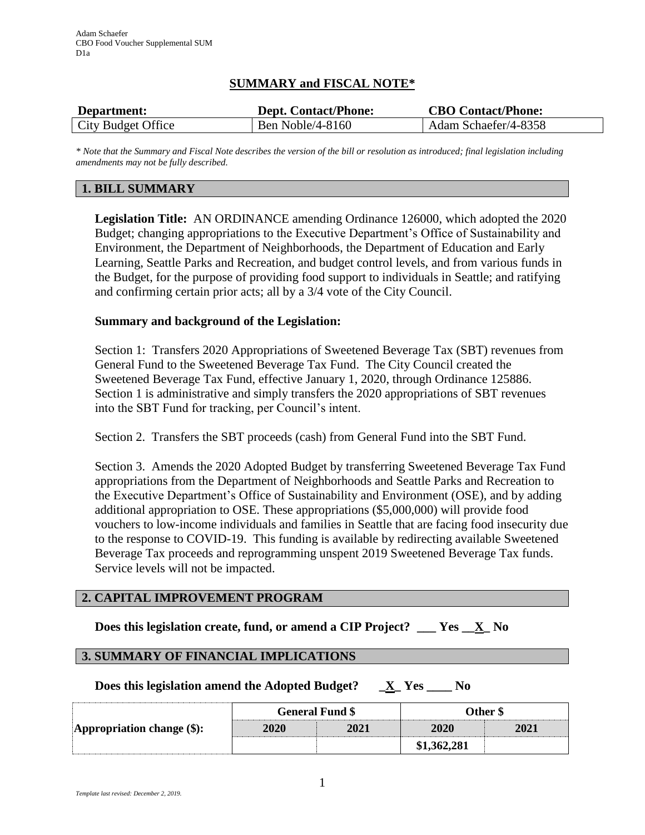# **SUMMARY and FISCAL NOTE\***

| Department:        | <b>Dept. Contact/Phone:</b> | <b>CBO Contact/Phone:</b> |
|--------------------|-----------------------------|---------------------------|
| City Budget Office | <b>Ben Noble/4-8160</b>     | Adam Schaefer/4-8358      |

*\* Note that the Summary and Fiscal Note describes the version of the bill or resolution as introduced; final legislation including amendments may not be fully described.*

# **1. BILL SUMMARY**

**Legislation Title:** AN ORDINANCE amending Ordinance 126000, which adopted the 2020 Budget; changing appropriations to the Executive Department's Office of Sustainability and Environment, the Department of Neighborhoods, the Department of Education and Early Learning, Seattle Parks and Recreation, and budget control levels, and from various funds in the Budget, for the purpose of providing food support to individuals in Seattle; and ratifying and confirming certain prior acts; all by a 3/4 vote of the City Council.

# **Summary and background of the Legislation:**

Section 1: Transfers 2020 Appropriations of Sweetened Beverage Tax (SBT) revenues from General Fund to the Sweetened Beverage Tax Fund. The City Council created the Sweetened Beverage Tax Fund, effective January 1, 2020, through Ordinance 125886. Section 1 is administrative and simply transfers the 2020 appropriations of SBT revenues into the SBT Fund for tracking, per Council's intent.

Section 2. Transfers the SBT proceeds (cash) from General Fund into the SBT Fund.

Section 3. Amends the 2020 Adopted Budget by transferring Sweetened Beverage Tax Fund appropriations from the Department of Neighborhoods and Seattle Parks and Recreation to the Executive Department's Office of Sustainability and Environment (OSE), and by adding additional appropriation to OSE. These appropriations (\$5,000,000) will provide food vouchers to low-income individuals and families in Seattle that are facing food insecurity due to the response to COVID-19. This funding is available by redirecting available Sweetened Beverage Tax proceeds and reprogramming unspent 2019 Sweetened Beverage Tax funds. Service levels will not be impacted.

# **2. CAPITAL IMPROVEMENT PROGRAM**

**Does this legislation create, fund, or amend a CIP Project? \_\_\_ Yes \_\_X\_ No**

# **3. SUMMARY OF FINANCIAL IMPLICATIONS**

**Does this legislation amend the Adopted Budget? \_X\_ Yes \_\_\_\_ No**

|                                   | <b>General Fund \$</b> |      | Other \$    |      |
|-----------------------------------|------------------------|------|-------------|------|
| <b>Appropriation change (\$):</b> | <b>2020</b>            | 2021 | 2020        | 2021 |
|                                   |                        |      | \$1.362.281 |      |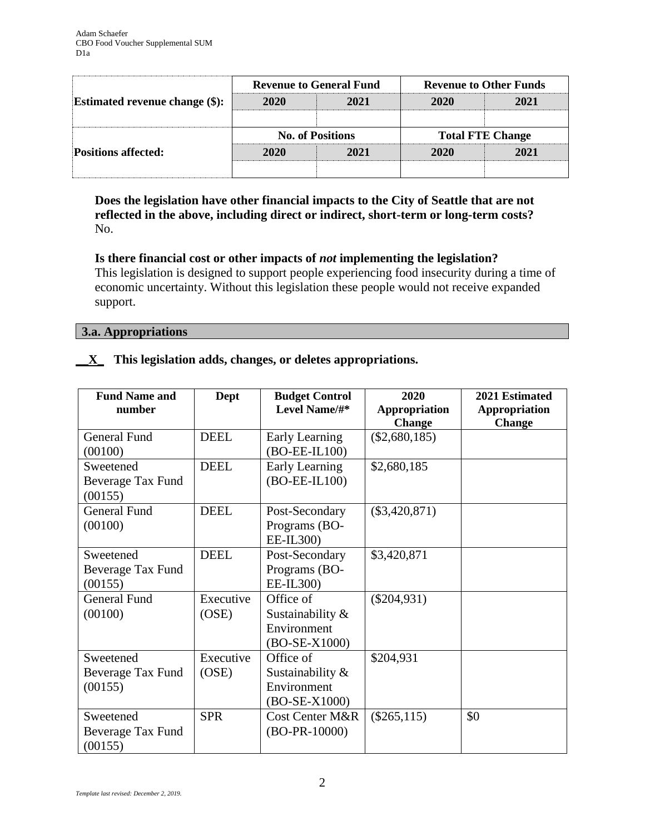|                                   | <b>Revenue to General Fund</b> |      | <b>Revenue to Other Funds</b> |      |
|-----------------------------------|--------------------------------|------|-------------------------------|------|
| Estimated revenue change $(\$)$ : | 2020                           | 2021 | 2020                          | 2021 |
|                                   | <b>No. of Positions</b>        |      | <b>Total FTE Change</b>       |      |
|                                   |                                |      |                               |      |
| <b>Positions affected:</b>        | 2020                           | 2021 | 2020                          | 2021 |

**Does the legislation have other financial impacts to the City of Seattle that are not reflected in the above, including direct or indirect, short-term or long-term costs?** No.

# **Is there financial cost or other impacts of** *not* **implementing the legislation?**

This legislation is designed to support people experiencing food insecurity during a time of economic uncertainty. Without this legislation these people would not receive expanded support.

# **3.a. Appropriations**

# **\_\_X\_ This legislation adds, changes, or deletes appropriations.**

| <b>Fund Name and</b><br>number | <b>Dept</b> | <b>Budget Control</b><br>Level Name/#* | 2020<br>Appropriation<br><b>Change</b> | 2021 Estimated<br>Appropriation<br><b>Change</b> |
|--------------------------------|-------------|----------------------------------------|----------------------------------------|--------------------------------------------------|
| <b>General Fund</b>            | <b>DEEL</b> | Early Learning                         | $(\$2,680,185)$                        |                                                  |
| (00100)                        |             | $(BO-EE-IL100)$                        |                                        |                                                  |
| Sweetened                      | <b>DEEL</b> | Early Learning                         | \$2,680,185                            |                                                  |
| Beverage Tax Fund              |             | (BO-EE-IL100)                          |                                        |                                                  |
| (00155)                        |             |                                        |                                        |                                                  |
| <b>General Fund</b>            | <b>DEEL</b> | Post-Secondary                         | $(\$3,420,871)$                        |                                                  |
| (00100)                        |             | Programs (BO-                          |                                        |                                                  |
|                                |             | EE-IL300)                              |                                        |                                                  |
| Sweetened                      | <b>DEEL</b> | Post-Secondary                         | \$3,420,871                            |                                                  |
| Beverage Tax Fund              |             | Programs (BO-                          |                                        |                                                  |
| (00155)                        |             | EE-IL300)                              |                                        |                                                  |
| <b>General Fund</b>            | Executive   | Office of                              | $(\$204,931)$                          |                                                  |
| (00100)                        | (OSE)       | Sustainability $\&$                    |                                        |                                                  |
|                                |             | Environment                            |                                        |                                                  |
|                                |             | (BO-SE-X1000)                          |                                        |                                                  |
| Sweetened                      | Executive   | Office of                              | \$204,931                              |                                                  |
| Beverage Tax Fund              | (OSE)       | Sustainability $\&$                    |                                        |                                                  |
| (00155)                        |             | Environment                            |                                        |                                                  |
|                                |             | (BO-SE-X1000)                          |                                        |                                                  |
| Sweetened                      | <b>SPR</b>  | <b>Cost Center M&amp;R</b>             | $(\$265,115)$                          | \$0                                              |
| Beverage Tax Fund<br>(00155)   |             | $(BO-PR-10000)$                        |                                        |                                                  |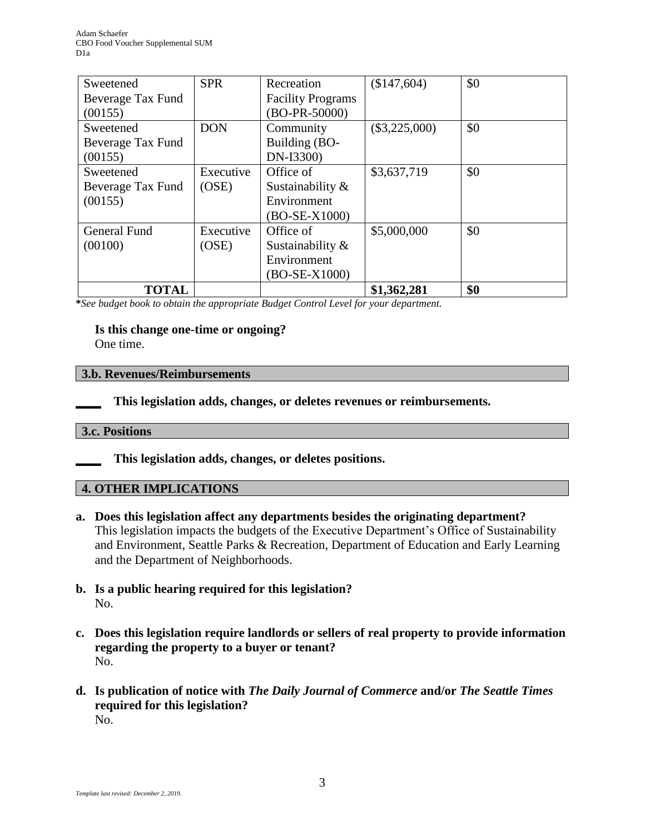| Sweetened         | <b>SPR</b> | Recreation               | (\$147,604)     | \$0 |
|-------------------|------------|--------------------------|-----------------|-----|
| Beverage Tax Fund |            | <b>Facility Programs</b> |                 |     |
| (00155)           |            | (BO-PR-50000)            |                 |     |
| Sweetened         | <b>DON</b> | Community                | $(\$3,225,000)$ | \$0 |
| Beverage Tax Fund |            | Building (BO-            |                 |     |
| (00155)           |            | DN-I3300)                |                 |     |
| Sweetened         | Executive  | Office of                | \$3,637,719     | \$0 |
| Beverage Tax Fund | (OSE)      | Sustainability &         |                 |     |
| (00155)           |            | Environment              |                 |     |
|                   |            | $(BO-SE-X1000)$          |                 |     |
| General Fund      | Executive  | Office of                | \$5,000,000     | \$0 |
| (00100)           | (OSE)      | Sustainability &         |                 |     |
|                   |            | Environment              |                 |     |
|                   |            | $(BO-SE-X1000)$          |                 |     |
| <b>TOTAL</b>      |            |                          | \$1,362,281     | \$0 |

**\****See budget book to obtain the appropriate Budget Control Level for your department.*

# **Is this change one-time or ongoing?**

One time.

### **3.b. Revenues/Reimbursements**

**\_\_\_\_ This legislation adds, changes, or deletes revenues or reimbursements.**

### **3.c. Positions**

**\_\_\_\_ This legislation adds, changes, or deletes positions.**

### **4. OTHER IMPLICATIONS**

- **a. Does this legislation affect any departments besides the originating department?** This legislation impacts the budgets of the Executive Department's Office of Sustainability and Environment, Seattle Parks & Recreation, Department of Education and Early Learning and the Department of Neighborhoods.
- **b. Is a public hearing required for this legislation?** No.
- **c. Does this legislation require landlords or sellers of real property to provide information regarding the property to a buyer or tenant?** No.
- **d. Is publication of notice with** *The Daily Journal of Commerce* **and/or** *The Seattle Times* **required for this legislation?** No.